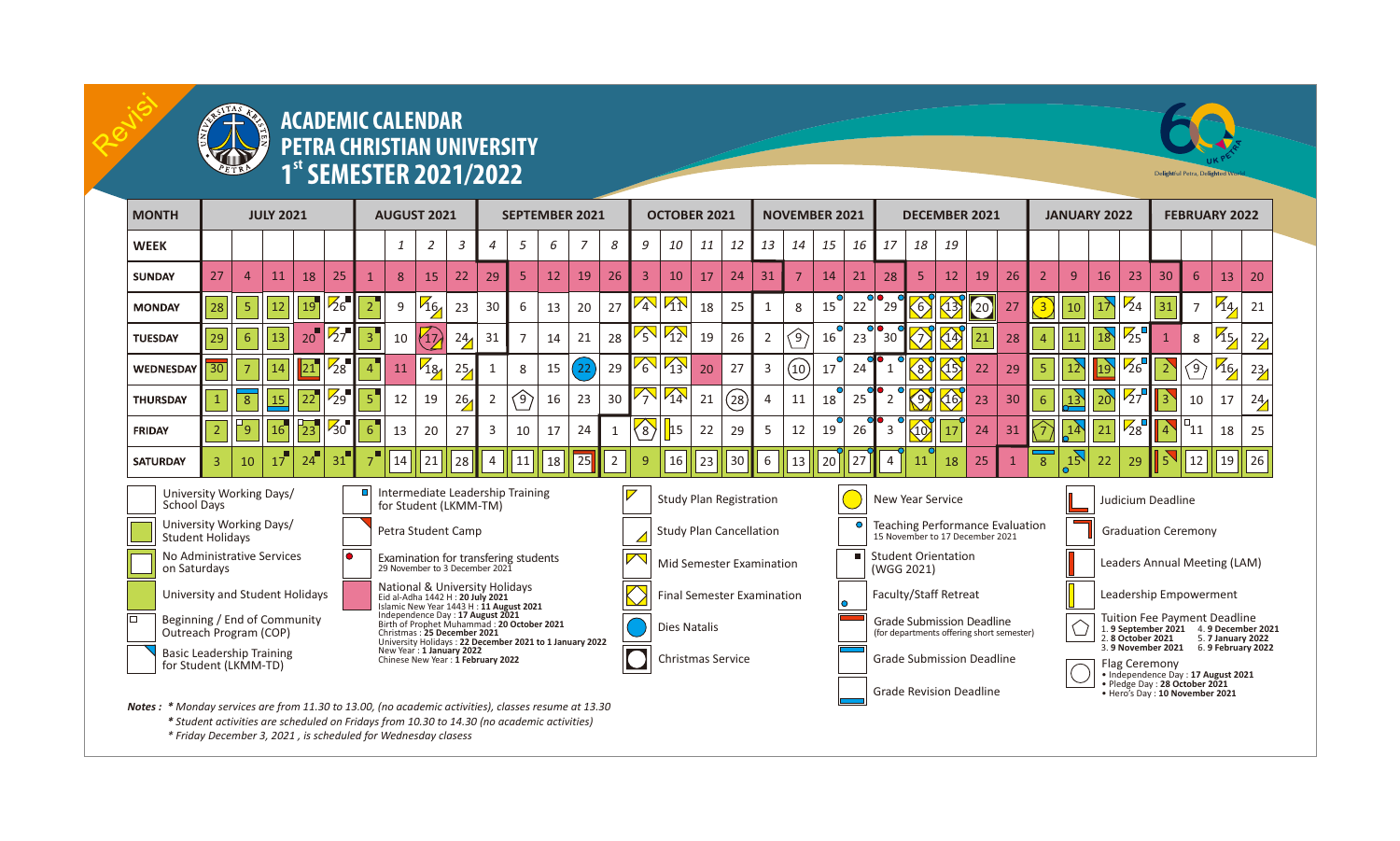

Revisi

## **ACADEMIC CALENDAR PETRA CHRISTIAN UNIVERSITY state STER 2021/2022** Delight **2021/2022** Details **1 Seminary 2021**

| <b>MONTH</b>                                                                                                                                                                                      | <b>JULY 2021</b> |                |    |                      |                  | <b>AUGUST 2021</b>                                                                                                                                                                                                               |    |                |      | <b>SEPTEMBER 2021</b>            |                |    |                                |    | <b>OCTOBER 2021</b>               |                                |    |              | <b>NOVEMBER 2021</b>                                                                                  |                                     |                 |      | <b>DECEMBER 2021</b>                                                                       |                 |                      |      |    | <b>JANUARY 2022</b> |                |                                                                                                                      |                 | <b>FEBRUARY 2022</b> |                            |                |      |
|---------------------------------------------------------------------------------------------------------------------------------------------------------------------------------------------------|------------------|----------------|----|----------------------|------------------|----------------------------------------------------------------------------------------------------------------------------------------------------------------------------------------------------------------------------------|----|----------------|------|----------------------------------|----------------|----|--------------------------------|----|-----------------------------------|--------------------------------|----|--------------|-------------------------------------------------------------------------------------------------------|-------------------------------------|-----------------|------|--------------------------------------------------------------------------------------------|-----------------|----------------------|------|----|---------------------|----------------|----------------------------------------------------------------------------------------------------------------------|-----------------|----------------------|----------------------------|----------------|------|
| <b>WEEK</b>                                                                                                                                                                                       |                  |                |    |                      |                  |                                                                                                                                                                                                                                  | 1  | 2              | 3    | 4                                | 5              | 6  | 7                              | 8  | 9                                 | 10                             | 11 | 12           | 13                                                                                                    | 14                                  | 15              | 16 I | 17                                                                                         | 18              | 19                   |      |    |                     |                |                                                                                                                      |                 |                      |                            |                |      |
| <b>SUNDAY</b>                                                                                                                                                                                     | 27               | $\overline{4}$ | 11 | 18                   | 25               | $\mathbf{1}$                                                                                                                                                                                                                     | 8  | 15             | 22   | 29                               | 5              | 12 | 19                             | 26 | $\overline{3}$                    | 10                             | 17 | 24           | 31                                                                                                    |                                     | 14              | 21   | 28                                                                                         | 5               | 12                   | 19   | 26 | $\overline{2}$      | 9              | 16                                                                                                                   | 23              | 30                   | 6                          | 13             | 20   |
| <b>MONDAY</b>                                                                                                                                                                                     | 28               | $\overline{5}$ | 12 | 19 <sup>7</sup>      | $Z_6$            | $2^{^{\prime}}$                                                                                                                                                                                                                  | 9  | $\frac{1}{46}$ | 23   | 30                               | 6              | 13 | 20                             | 27 | $\sqrt{4}$                        | $\sqrt{1}$                     | 18 | 25           |                                                                                                       | 8                                   | 15              | 22   | 29                                                                                         | 6)              | $\langle 13 \rangle$ | (20) | 27 |                     | 10             | 17                                                                                                                   | $\frac{1}{24}$  | 31                   |                            | $\frac{7}{4}$  | 21   |
| <b>TUESDAY</b>                                                                                                                                                                                    | 29               | 6 <sup>1</sup> | 13 | 20 <sup>1</sup>      | $\bar{z}_7$      | $\overline{\mathbf{3}}$                                                                                                                                                                                                          | 10 | 17,            | 24   | 31                               | $\overline{7}$ | 14 | 21                             | 28 | 勽                                 | $\sqrt{12}$                    | 19 | 26           | $\overline{2}$                                                                                        | $\textcircled{\scriptsize\char'42}$ | 16 <sup>7</sup> | 23   | 30                                                                                         |                 | $\langle 14 \rangle$ | 21   | 28 |                     | 11             | 18                                                                                                                   | 25              |                      | 8                          | $\frac{15}{2}$ | 22   |
| WEDNESDAY                                                                                                                                                                                         | 30               |                | 14 |                      | $\frac{1}{28}$   | $\overline{4}$                                                                                                                                                                                                                   | 11 | $\frac{7}{13}$ | 25/2 |                                  | 8              | 15 | 22                             | 29 | $\mathcal{E}_{\mathbf{c}}$        | $\sqrt{13}$                    | 20 | 27           | $\overline{3}$                                                                                        | (10)                                | 17              | 24   | 1                                                                                          |                 | 45                   | 22   | 29 |                     | 12             | 19                                                                                                                   | $\frac{1}{26}$  |                      | (9)                        | $^{46}$        | 23/2 |
| <b>THURSDAY</b>                                                                                                                                                                                   |                  | $\overline{8}$ | 15 | 22                   | $\overline{Z_9}$ | $\overline{5}$                                                                                                                                                                                                                   | 12 | 19             | 26/  | $\overline{2}$                   | 〈9〉            | 16 | 23                             | 30 | 勽                                 | $\sqrt{14}$                    | 21 | $\Large(28)$ |                                                                                                       | 11                                  | 18              | 25   | $\overline{2}$                                                                             | ۵٦.             | 16                   | 23   | 30 |                     | 13             | 20                                                                                                                   | $\overline{27}$ |                      | 10                         | 17             | 24   |
| FRIDAY                                                                                                                                                                                            | $\overline{2}$   | '9             | 16 | $^{1}$ <sub>23</sub> | $\sqrt{30}$      | 6                                                                                                                                                                                                                                | 13 | 20             | 27   | 3                                | 10             | 17 | 24                             | 1  | $\Im$                             | 15                             | 22 | 29           | 5                                                                                                     | 12                                  | 19              | 26   | 3                                                                                          | $\overline{10}$ | 17                   | 24   | 31 |                     | 1 <sup>2</sup> | 21                                                                                                                   | $^{1/28}$       | $\vert 4 \rangle$    | $\mathbin{\sqcap} 11$      | 18             | 25   |
| <b>SATURDAY</b>                                                                                                                                                                                   | 3                | 10             | 17 | 24                   | 31               |                                                                                                                                                                                                                                  | 14 | 21             | 28   | 4                                | 11             | 18 | 25                             | 2  | 9                                 | 16                             | 23 | 30           | 6                                                                                                     | 13                                  | 20              | 27   | $\overline{4}$                                                                             | 11              | 18                   | 25   |    | 8                   | 15             | 22                                                                                                                   | 29              |                      | 12                         | 19             | 26   |
| University Working Days/<br>School Days<br>for Student (LKMM-TM)                                                                                                                                  |                  |                |    |                      |                  |                                                                                                                                                                                                                                  |    |                |      | Intermediate Leadership Training |                |    |                                |    |                                   | <b>Study Plan Registration</b> |    |              |                                                                                                       |                                     |                 |      | <b>New Year Service</b>                                                                    |                 |                      |      |    |                     |                |                                                                                                                      |                 | Judicium Deadline    |                            |                |      |
| University Working Days/<br><b>Student Holidavs</b>                                                                                                                                               |                  |                |    |                      |                  | Petra Student Camp                                                                                                                                                                                                               |    |                |      |                                  |                |    |                                |    | <b>Study Plan Cancellation</b>    |                                |    |              |                                                                                                       |                                     |                 |      | <b>Teaching Performance Evaluation</b><br>15 November to 17 December 2021                  |                 |                      |      |    |                     |                |                                                                                                                      |                 |                      | <b>Graduation Ceremony</b> |                |      |
| No Administrative Services<br>on Saturdays                                                                                                                                                        |                  |                |    |                      |                  | Examination for transfering students<br>29 November to 3 December 2021                                                                                                                                                           |    |                |      |                                  |                |    |                                |    |                                   | Mid Semester Examination       |    |              |                                                                                                       |                                     |                 |      | <b>Student Orientation</b><br>(WGG 2021)                                                   |                 |                      |      |    |                     |                | Leaders Annual Meeting (LAM)                                                                                         |                 |                      |                            |                |      |
| University and Student Holidays                                                                                                                                                                   |                  |                |    |                      |                  | National & University Holidays<br>Eid al-Adha 1442 H : 20 July 2021<br>Islamic New Year 1443 H : 11 August 2021<br>Independence Day: 17 August 2021<br>Birth of Prophet Muhammad: 20 October 2021<br>Christmas: 25 December 2021 |    |                |      |                                  |                |    |                                |    | <b>Final Semester Examination</b> |                                |    |              |                                                                                                       |                                     |                 |      | Faculty/Staff Retreat                                                                      |                 |                      |      |    |                     |                | Leadership Empowerment                                                                                               |                 |                      |                            |                |      |
| lo<br>Beginning / End of Community<br>Outreach Program (COP)                                                                                                                                      |                  |                |    |                      |                  |                                                                                                                                                                                                                                  |    |                |      |                                  |                |    |                                |    | <b>Dies Natalis</b>               |                                |    |              |                                                                                                       |                                     |                 |      | <b>Grade Submission Deadline</b><br>(for departments offering short semester)              |                 |                      |      |    |                     |                | <b>Tuition Fee Payment Deadline</b><br>1.9 September 2021 4.9 December 2021<br>2.8 October 2021<br>5. 7 January 2022 |                 |                      |                            |                |      |
| <b>Basic Leadership Training</b><br>for Student (LKMM-TD)                                                                                                                                         |                  |                |    |                      |                  | University Holidays: 22 December 2021 to 1 January 2022<br>New Year: 1 January 2022<br>Chinese New Year: 1 February 2022                                                                                                         |    |                |      |                                  |                |    |                                |    | Christmas Service                 |                                |    |              |                                                                                                       |                                     |                 |      | 3. 9 November 2021 6. 9 February 2022<br><b>Grade Submission Deadline</b><br>Flag Ceremony |                 |                      |      |    |                     |                |                                                                                                                      |                 |                      |                            |                |      |
|                                                                                                                                                                                                   |                  |                |    |                      |                  |                                                                                                                                                                                                                                  |    |                |      |                                  |                |    | <b>Grade Revision Deadline</b> |    |                                   |                                |    |              | . Independence Day: 17 August 2021<br>· Pledge Day: 28 October 2021<br>. Hero's Day: 10 November 2021 |                                     |                 |      |                                                                                            |                 |                      |      |    |                     |                |                                                                                                                      |                 |                      |                            |                |      |
| Notes: * Monday services are from 11.30 to 13.00, (no academic activities), classes resume at 13.30<br>* Student activities are scheduled on Fridays from 10.30 to 14.30 (no academic activities) |                  |                |    |                      |                  |                                                                                                                                                                                                                                  |    |                |      |                                  |                |    |                                |    |                                   |                                |    |              |                                                                                                       |                                     |                 |      |                                                                                            |                 |                      |      |    |                     |                |                                                                                                                      |                 |                      |                            |                |      |

*\* Friday December 3, 2021 , is scheduled for Wednesday clasess*